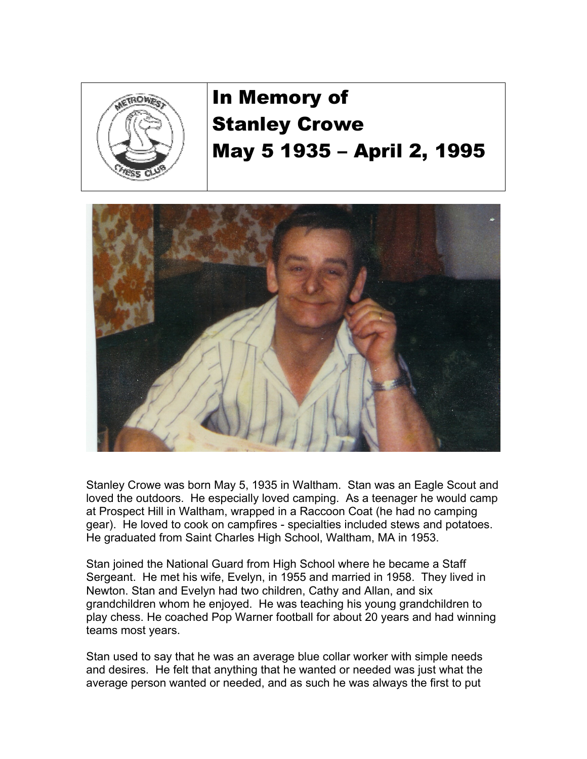

## In Memory of Stanley Crowe May 5 1935 – April 2, 1995



Stanley Crowe was born May 5, 1935 in Waltham. Stan was an Eagle Scout and loved the outdoors. He especially loved camping. As a teenager he would camp at Prospect Hill in Waltham, wrapped in a Raccoon Coat (he had no camping gear). He loved to cook on campfires - specialties included stews and potatoes. He graduated from Saint Charles High School, Waltham, MA in 1953.

Stan joined the National Guard from High School where he became a Staff Sergeant. He met his wife, Evelyn, in 1955 and married in 1958. They lived in Newton. Stan and Evelyn had two children, Cathy and Allan, and six grandchildren whom he enjoyed. He was teaching his young grandchildren to play chess. He coached Pop Warner football for about 20 years and had winning teams most years.

Stan used to say that he was an average blue collar worker with simple needs and desires. He felt that anything that he wanted or needed was just what the average person wanted or needed, and as such he was always the first to put